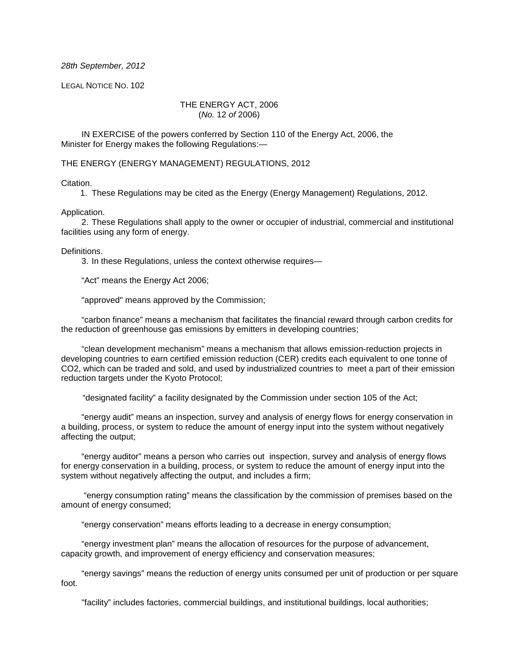#### 28th September, 2012

LEGAL NOTICE NO. 102

### THE ENERGY ACT, 2006 (No. 12 of 2006)

IN EXERCISE of the powers conferred by Section 110 of the Energy Act, 2006, the Minister for Energy makes the following Regulations:—

THE ENERGY (ENERGY MANAGEMENT) REGULATIONS, 2012

#### Citation.

1. These Regulations may be cited as the Energy (Energy Management) Regulations, 2012.

### Application.

2. These Regulations shall apply to the owner or occupier of industrial, commercial and institutional facilities using any form of energy.

Definitions.

3. In these Regulations, unless the context otherwise requires—

"Act" means the Energy Act 2006;

"approved" means approved by the Commission;

"carbon finance" means a mechanism that facilitates the financial reward through carbon credits for the reduction of greenhouse gas emissions by emitters in developing countries;

"clean development mechanism" means a mechanism that allows emission-reduction projects in developing countries to earn certified emission reduction (CER) credits each equivalent to one tonne of CO2, which can be traded and sold, and used by industrialized countries to meet a part of their emission reduction targets under the Kyoto Protocol;

"designated facility" a facility designated by the Commission under section 105 of the Act;

"energy audit" means an inspection, survey and analysis of energy flows for energy conservation in a building, process, or system to reduce the amount of energy input into the system without negatively affecting the output;

"energy auditor" means a person who carries out inspection, survey and analysis of energy flows for energy conservation in a building, process, or system to reduce the amount of energy input into the system without negatively affecting the output, and includes a firm;

 "energy consumption rating" means the classification by the commission of premises based on the amount of energy consumed;

"energy conservation" means efforts leading to a decrease in energy consumption;

"energy investment plan" means the allocation of resources for the purpose of advancement, capacity growth, and improvement of energy efficiency and conservation measures;

"energy savings" means the reduction of energy units consumed per unit of production or per square foot.

"facility" includes factories, commercial buildings, and institutional buildings, local authorities;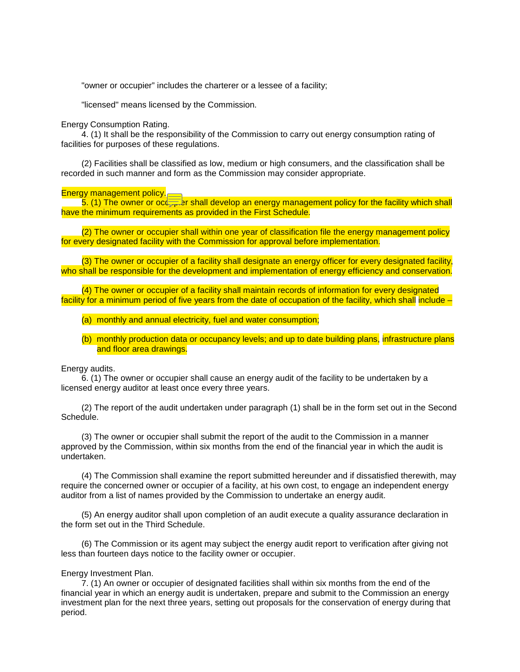"owner or occupier" includes the charterer or a lessee of a facility;

"licensed" means licensed by the Commission.

Energy Consumption Rating.

4. (1) It shall be the responsibility of the Commission to carry out energy consumption rating of facilities for purposes of these regulations.

(2) Facilities shall be classified as low, medium or high consumers, and the classification shall be recorded in such manner and form as the Commission may consider appropriate.

Energy management policy.

 $5.$  (1) The owner or occ<sub>eprin</sub>er shall develop an energy management policy for the facility which shall have the minimum requirements as provided in the First Schedule.

(2) The owner or occupier shall within one year of classification file the energy management policy for every designated facility with the Commission for approval before implementation.

(3) The owner or occupier of a facility shall designate an energy officer for every designated facility, who shall be responsible for the development and implementation of energy efficiency and conservation.

(4) The owner or occupier of a facility shall maintain records of information for every designated facility for a minimum period of five years from the date of occupation of the facility, which shall include –

(a) monthly and annual electricity, fuel and water consumption;

(b) monthly production data or occupancy levels; and up to date building plans, infrastructure plans and floor area drawings.

Energy audits.

6. (1) The owner or occupier shall cause an energy audit of the facility to be undertaken by a licensed energy auditor at least once every three years.

(2) The report of the audit undertaken under paragraph (1) shall be in the form set out in the Second Schedule.

(3) The owner or occupier shall submit the report of the audit to the Commission in a manner approved by the Commission, within six months from the end of the financial year in which the audit is undertaken.

(4) The Commission shall examine the report submitted hereunder and if dissatisfied therewith, may require the concerned owner or occupier of a facility, at his own cost, to engage an independent energy auditor from a list of names provided by the Commission to undertake an energy audit.

(5) An energy auditor shall upon completion of an audit execute a quality assurance declaration in the form set out in the Third Schedule.

(6) The Commission or its agent may subject the energy audit report to verification after giving not less than fourteen days notice to the facility owner or occupier.

#### Energy Investment Plan.

7. (1) An owner or occupier of designated facilities shall within six months from the end of the financial year in which an energy audit is undertaken, prepare and submit to the Commission an energy investment plan for the next three years, setting out proposals for the conservation of energy during that period.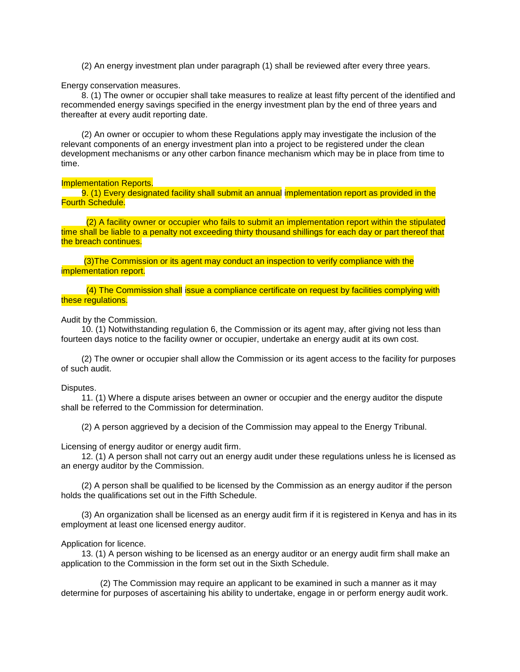(2) An energy investment plan under paragraph (1) shall be reviewed after every three years.

Energy conservation measures.

8. (1) The owner or occupier shall take measures to realize at least fifty percent of the identified and recommended energy savings specified in the energy investment plan by the end of three years and thereafter at every audit reporting date.

(2) An owner or occupier to whom these Regulations apply may investigate the inclusion of the relevant components of an energy investment plan into a project to be registered under the clean development mechanisms or any other carbon finance mechanism which may be in place from time to time.

Implementation Reports.

9. (1) Every designated facility shall submit an annual implementation report as provided in the Fourth Schedule.

 (2) A facility owner or occupier who fails to submit an implementation report within the stipulated time shall be liable to a penalty not exceeding thirty thousand shillings for each day or part thereof that the breach continues.

 (3)The Commission or its agent may conduct an inspection to verify compliance with the implementation report.

 (4) The Commission shall issue a compliance certificate on request by facilities complying with these regulations.

Audit by the Commission.

10. (1) Notwithstanding regulation 6, the Commission or its agent may, after giving not less than fourteen days notice to the facility owner or occupier, undertake an energy audit at its own cost.

(2) The owner or occupier shall allow the Commission or its agent access to the facility for purposes of such audit.

### Disputes.

11. (1) Where a dispute arises between an owner or occupier and the energy auditor the dispute shall be referred to the Commission for determination.

(2) A person aggrieved by a decision of the Commission may appeal to the Energy Tribunal.

Licensing of energy auditor or energy audit firm.

12. (1) A person shall not carry out an energy audit under these regulations unless he is licensed as an energy auditor by the Commission.

(2) A person shall be qualified to be licensed by the Commission as an energy auditor if the person holds the qualifications set out in the Fifth Schedule.

(3) An organization shall be licensed as an energy audit firm if it is registered in Kenya and has in its employment at least one licensed energy auditor.

#### Application for licence.

13. (1) A person wishing to be licensed as an energy auditor or an energy audit firm shall make an application to the Commission in the form set out in the Sixth Schedule.

 (2) The Commission may require an applicant to be examined in such a manner as it may determine for purposes of ascertaining his ability to undertake, engage in or perform energy audit work.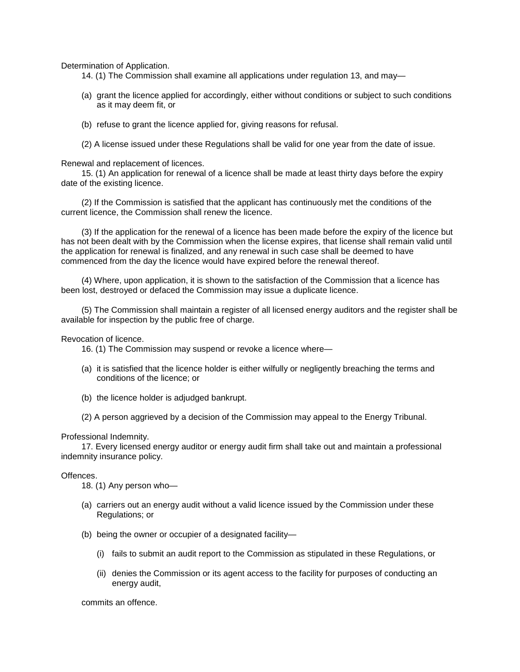Determination of Application.

- 14. (1) The Commission shall examine all applications under regulation 13, and may—
- (a) grant the licence applied for accordingly, either without conditions or subject to such conditions as it may deem fit, or
- (b) refuse to grant the licence applied for, giving reasons for refusal.
- (2) A license issued under these Regulations shall be valid for one year from the date of issue.

Renewal and replacement of licences.

15. (1) An application for renewal of a licence shall be made at least thirty days before the expiry date of the existing licence.

(2) If the Commission is satisfied that the applicant has continuously met the conditions of the current licence, the Commission shall renew the licence.

(3) If the application for the renewal of a licence has been made before the expiry of the licence but has not been dealt with by the Commission when the license expires, that license shall remain valid until the application for renewal is finalized, and any renewal in such case shall be deemed to have commenced from the day the licence would have expired before the renewal thereof.

(4) Where, upon application, it is shown to the satisfaction of the Commission that a licence has been lost, destroyed or defaced the Commission may issue a duplicate licence.

(5) The Commission shall maintain a register of all licensed energy auditors and the register shall be available for inspection by the public free of charge.

Revocation of licence.

- 16. (1) The Commission may suspend or revoke a licence where—
- (a) it is satisfied that the licence holder is either wilfully or negligently breaching the terms and conditions of the licence; or
- (b) the licence holder is adjudged bankrupt.
- (2) A person aggrieved by a decision of the Commission may appeal to the Energy Tribunal.

#### Professional Indemnity.

17. Every licensed energy auditor or energy audit firm shall take out and maintain a professional indemnity insurance policy.

### Offences.

18. (1) Any person who—

- (a) carriers out an energy audit without a valid licence issued by the Commission under these Regulations; or
- (b) being the owner or occupier of a designated facility—
	- (i) fails to submit an audit report to the Commission as stipulated in these Regulations, or
	- (ii) denies the Commission or its agent access to the facility for purposes of conducting an energy audit,

commits an offence.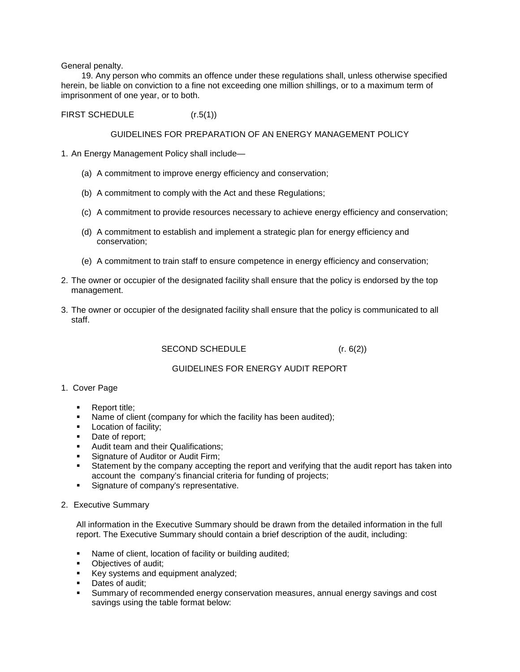General penalty.

19. Any person who commits an offence under these regulations shall, unless otherwise specified herein, be liable on conviction to a fine not exceeding one million shillings, or to a maximum term of imprisonment of one year, or to both.

FIRST SCHEDULE (r.5(1))

## GUIDELINES FOR PREPARATION OF AN ENERGY MANAGEMENT POLICY

- 1. An Energy Management Policy shall include—
	- (a) A commitment to improve energy efficiency and conservation;
	- (b) A commitment to comply with the Act and these Regulations;
	- (c) A commitment to provide resources necessary to achieve energy efficiency and conservation;
	- (d) A commitment to establish and implement a strategic plan for energy efficiency and conservation;
	- (e) A commitment to train staff to ensure competence in energy efficiency and conservation;
- 2. The owner or occupier of the designated facility shall ensure that the policy is endorsed by the top management.
- 3. The owner or occupier of the designated facility shall ensure that the policy is communicated to all staff.

SECOND SCHEDULE (r. 6(2))

# GUIDELINES FOR ENERGY AUDIT REPORT

- 1. Cover Page
	- Report title:
	- Name of client (company for which the facility has been audited);
	- **Location of facility;**
	- Date of report:
	- Audit team and their Qualifications;
	- **Signature of Auditor or Audit Firm;**
	- Statement by the company accepting the report and verifying that the audit report has taken into account the company's financial criteria for funding of projects;
	- **Signature of company's representative.**
- 2. Executive Summary

All information in the Executive Summary should be drawn from the detailed information in the full report. The Executive Summary should contain a brief description of the audit, including:

- Name of client, location of facility or building audited;
- Objectives of audit;
- Key systems and equipment analyzed;
- Dates of audit;
- Summary of recommended energy conservation measures, annual energy savings and cost savings using the table format below: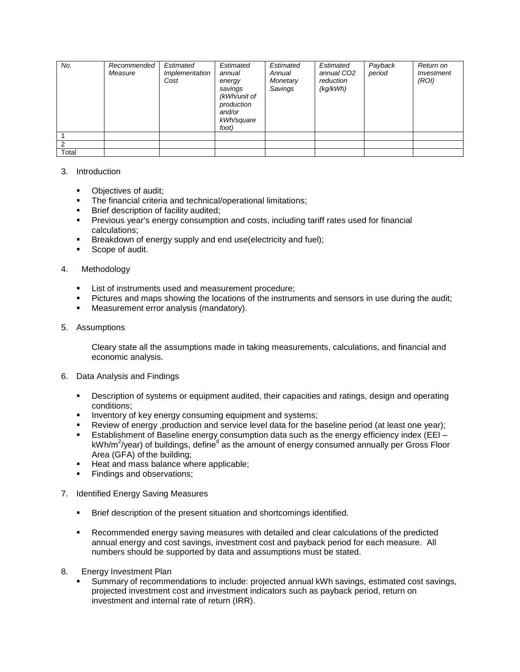| No.   | Recommended<br>Measure | Estimated<br>Implementation<br>Cost | Estimated<br>annual<br>energy<br>savings<br>(kWh/unit of<br>production<br>and/or<br>kWh/square<br>foot) | Estimated<br>Annual<br>Monetary<br>Savings | Estimated<br>annual CO <sub>2</sub><br>reduction<br>(kq/kWh) | Payback<br>period | Return on<br>Investment<br>(ROI) |
|-------|------------------------|-------------------------------------|---------------------------------------------------------------------------------------------------------|--------------------------------------------|--------------------------------------------------------------|-------------------|----------------------------------|
|       |                        |                                     |                                                                                                         |                                            |                                                              |                   |                                  |
|       |                        |                                     |                                                                                                         |                                            |                                                              |                   |                                  |
| Total |                        |                                     |                                                                                                         |                                            |                                                              |                   |                                  |

# 3. Introduction

- Objectives of audit;
- The financial criteria and technical/operational limitations;
- Brief description of facility audited;
- Previous year's energy consumption and costs, including tariff rates used for financial calculations;
- **Breakdown of energy supply and end use (electricity and fuel);**
- Scope of audit.

### 4. Methodology

- **EXECT:** List of instruments used and measurement procedure;
- Pictures and maps showing the locations of the instruments and sensors in use during the audit;
- **Measurement error analysis (mandatory).**

### 5. Assumptions

Cleary state all the assumptions made in taking measurements, calculations, and financial and economic analysis.

### 6. Data Analysis and Findings

- Description of systems or equipment audited, their capacities and ratings, design and operating conditions;
- **Inventory of key energy consuming equipment and systems;**
- Review of energy ,production and service level data for the baseline period (at least one year);
- Establishment of Baseline energy consumption data such as the energy efficiency index (EEI kWh/m<sup>2</sup>/year) of buildings, define<sup>d</sup> as the amount of energy consumed annually per Gross Floor Area (GFA) of the building;
- Heat and mass balance where applicable;
- Findings and observations;

# 7. Identified Energy Saving Measures

- **Brief description of the present situation and shortcomings identified.**
- Recommended energy saving measures with detailed and clear calculations of the predicted annual energy and cost savings, investment cost and payback period for each measure. All numbers should be supported by data and assumptions must be stated.
- 8. Energy Investment Plan
	- Summary of recommendations to include: projected annual kWh savings, estimated cost savings, projected investment cost and investment indicators such as payback period, return on investment and internal rate of return (IRR).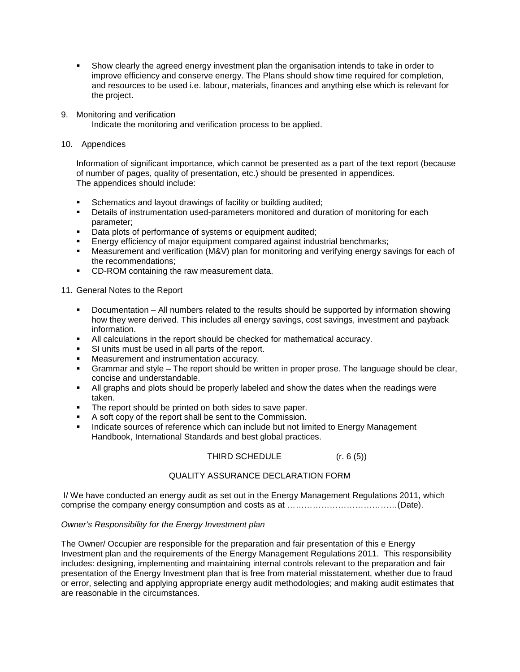- Show clearly the agreed energy investment plan the organisation intends to take in order to improve efficiency and conserve energy. The Plans should show time required for completion, and resources to be used i.e. labour, materials, finances and anything else which is relevant for the project.
- 9. Monitoring and verification Indicate the monitoring and verification process to be applied.
- 10. Appendices

Information of significant importance, which cannot be presented as a part of the text report (because of number of pages, quality of presentation, etc.) should be presented in appendices. The appendices should include:

- **Schematics and layout drawings of facility or building audited;**
- **•** Details of instrumentation used-parameters monitored and duration of monitoring for each parameter;
- Data plots of performance of systems or equipment audited;
- **Energy efficiency of major equipment compared against industrial benchmarks;**
- Measurement and verification (M&V) plan for monitoring and verifying energy savings for each of the recommendations;
- **CD-ROM containing the raw measurement data.**

11. General Notes to the Report

- **Documentation All numbers related to the results should be supported by information showing** how they were derived. This includes all energy savings, cost savings, investment and payback information.
- All calculations in the report should be checked for mathematical accuracy.
- **SI units must be used in all parts of the report.**
- **Measurement and instrumentation accuracy.**
- Grammar and style The report should be written in proper prose. The language should be clear, concise and understandable.
- All graphs and plots should be properly labeled and show the dates when the readings were taken.
- The report should be printed on both sides to save paper.
- A soft copy of the report shall be sent to the Commission.
- Indicate sources of reference which can include but not limited to Energy Management Handbook, International Standards and best global practices.

THIRD SCHEDULE  $(r. 6 (5))$ 

# QUALITY ASSURANCE DECLARATION FORM

 I/ We have conducted an energy audit as set out in the Energy Management Regulations 2011, which comprise the company energy consumption and costs as at …………………………………(Date).

### Owner's Responsibility for the Energy Investment plan

The Owner/ Occupier are responsible for the preparation and fair presentation of this e Energy Investment plan and the requirements of the Energy Management Regulations 2011. This responsibility includes: designing, implementing and maintaining internal controls relevant to the preparation and fair presentation of the Energy Investment plan that is free from material misstatement, whether due to fraud or error, selecting and applying appropriate energy audit methodologies; and making audit estimates that are reasonable in the circumstances.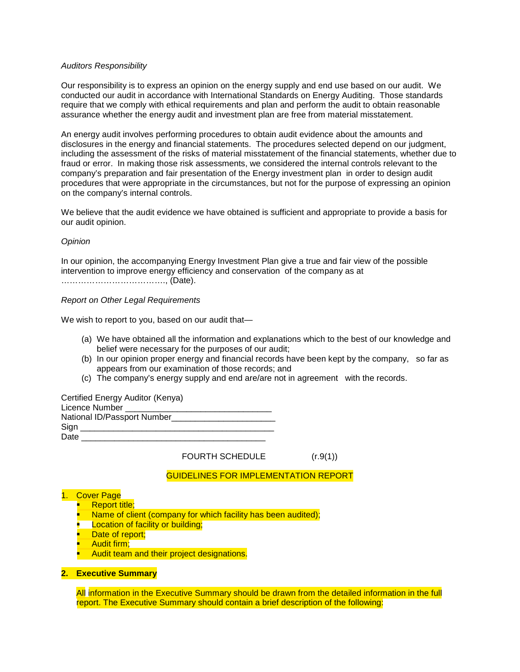### Auditors Responsibility

Our responsibility is to express an opinion on the energy supply and end use based on our audit. We conducted our audit in accordance with International Standards on Energy Auditing. Those standards require that we comply with ethical requirements and plan and perform the audit to obtain reasonable assurance whether the energy audit and investment plan are free from material misstatement.

An energy audit involves performing procedures to obtain audit evidence about the amounts and disclosures in the energy and financial statements. The procedures selected depend on our judgment, including the assessment of the risks of material misstatement of the financial statements, whether due to fraud or error. In making those risk assessments, we considered the internal controls relevant to the company's preparation and fair presentation of the Energy investment plan in order to design audit procedures that were appropriate in the circumstances, but not for the purpose of expressing an opinion on the company's internal controls.

We believe that the audit evidence we have obtained is sufficient and appropriate to provide a basis for our audit opinion.

#### Opinion

In our opinion, the accompanying Energy Investment Plan give a true and fair view of the possible intervention to improve energy efficiency and conservation of the company as at ………………………………., (Date).

#### Report on Other Legal Requirements

We wish to report to you, based on our audit that—

- (a) We have obtained all the information and explanations which to the best of our knowledge and belief were necessary for the purposes of our audit;
- (b) In our opinion proper energy and financial records have been kept by the company, so far as appears from our examination of those records; and
- (c) The company's energy supply and end are/are not in agreement with the records.

Certified Energy Auditor (Kenya)

| Licence Number              |  |
|-----------------------------|--|
| National ID/Passport Number |  |
| Sign                        |  |
| Date                        |  |

FOURTH SCHEDULE  $(r.9(1))$ 

# GUIDELINES FOR IMPLEMENTATION REPORT

# 1. Cover Page

- Report title;
- Name of client (company for which facility has been audited);
- **Location of facility or building;**
- Date of report;
- Audit firm;
- Audit team and their project designations.

# **2. Executive Summary**

All information in the Executive Summary should be drawn from the detailed information in the full report. The Executive Summary should contain a brief description of the following: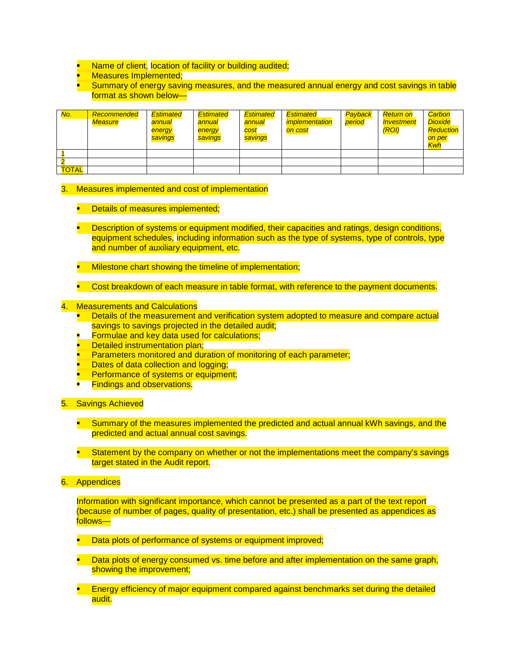- Name of client, location of facility or building audited;
- Measures Implemented;
- Summary of energy saving measures, and the measured annual energy and cost savings in table format as shown below—

| No.          | Recommended<br><b>Measure</b> | <b>Estimated</b><br>annual<br>energy<br>savings | <b>Estimated</b><br>annual<br>energy<br>savings | <b>Estimated</b><br>annual<br>cost<br>savings | Estimated<br><i><b>implementation</b></i><br>on cost | Payback<br>period | <b>Return on</b><br><i><b>Investment</b></i><br>(RO I) | Carbon<br><b>Dioxide</b><br><b>Reduction</b><br>on per<br>Kwh |
|--------------|-------------------------------|-------------------------------------------------|-------------------------------------------------|-----------------------------------------------|------------------------------------------------------|-------------------|--------------------------------------------------------|---------------------------------------------------------------|
|              |                               |                                                 |                                                 |                                               |                                                      |                   |                                                        |                                                               |
|              |                               |                                                 |                                                 |                                               |                                                      |                   |                                                        |                                                               |
| <b>TOTAL</b> |                               |                                                 |                                                 |                                               |                                                      |                   |                                                        |                                                               |

### 3. Measures implemented and cost of implementation

- Details of measures implemented;
- Description of systems or equipment modified, their capacities and ratings, design conditions, equipment schedules, including information such as the type of systems, type of controls, type and number of auxiliary equipment, etc.
- Milestone chart showing the timeline of implementation;
- Cost breakdown of each measure in table format, with reference to the payment documents.

#### 4. Measurements and Calculations

- Details of the measurement and verification system adopted to measure and compare actual savings to savings projected in the detailed audit;
- **Formulae and key data used for calculations;**
- Detailed instrumentation plan;
- Parameters monitored and duration of monitoring of each parameter;
- Dates of data collection and logging;
- Performance of systems or equipment;
- Findings and observations.

# 5. Savings Achieved

- **Summary of the measures implemented the predicted and actual annual kWh savings, and the** predicted and actual annual cost savings.
- Statement by the company on whether or not the implementations meet the company's savings target stated in the Audit report.
- 6. Appendices

Information with significant importance, which cannot be presented as a part of the text report (because of number of pages, quality of presentation, etc.) shall be presented as appendices as follows—

- Data plots of performance of systems or equipment improved;
- Data plots of energy consumed vs. time before and after implementation on the same graph, showing the improvement;
- Energy efficiency of major equipment compared against benchmarks set during the detailed audit.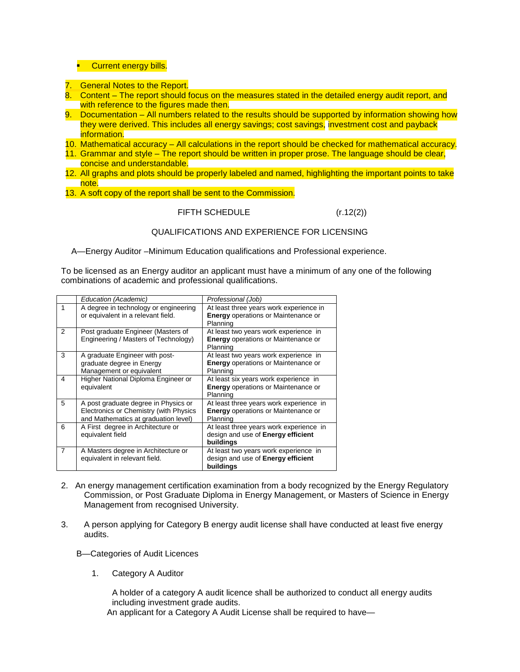# **Current energy bills.**

- 7. General Notes to the Report.
- 8. Content The report should focus on the measures stated in the detailed energy audit report, and with reference to the figures made then.
- 9. Documentation All numbers related to the results should be supported by information showing how they were derived. This includes all energy savings; cost savings, investment cost and payback information.
- 10. Mathematical accuracy All calculations in the report should be checked for mathematical accuracy.
- 11. Grammar and style The report should be written in proper prose. The language should be clear, concise and understandable.
- 12. All graphs and plots should be properly labeled and named, highlighting the important points to take note.
- 13. A soft copy of the report shall be sent to the Commission.

# FIFTH SCHEDULE (r.12(2))

# QUALIFICATIONS AND EXPERIENCE FOR LICENSING

A—Energy Auditor –Minimum Education qualifications and Professional experience.

To be licensed as an Energy auditor an applicant must have a minimum of any one of the following combinations of academic and professional qualifications.

|                | Education (Academic)                                                                                                   | Professional (Job)                                                                                |
|----------------|------------------------------------------------------------------------------------------------------------------------|---------------------------------------------------------------------------------------------------|
| 1              | A degree in technology or engineering<br>or equivalent in a relevant field.                                            | At least three years work experience in<br><b>Energy</b> operations or Maintenance or<br>Planning |
| $\mathcal{P}$  | Post graduate Engineer (Masters of<br>Engineering / Masters of Technology)                                             | At least two years work experience in<br><b>Energy</b> operations or Maintenance or<br>Planning   |
| 3              | A graduate Engineer with post-<br>graduate degree in Energy<br>Management or equivalent                                | At least two years work experience in<br><b>Energy</b> operations or Maintenance or<br>Planning   |
| 4              | Higher National Diploma Engineer or<br>equivalent                                                                      | At least six years work experience in<br><b>Energy</b> operations or Maintenance or<br>Planning   |
| 5              | A post graduate degree in Physics or<br>Electronics or Chemistry (with Physics<br>and Mathematics at graduation level) | At least three years work experience in<br><b>Energy operations or Maintenance or</b><br>Planning |
| 6              | A First degree in Architecture or<br>equivalent field                                                                  | At least three years work experience in<br>design and use of <b>Energy efficient</b><br>buildings |
| $\overline{7}$ | A Masters degree in Architecture or<br>equivalent in relevant field.                                                   | At least two years work experience in<br>design and use of <b>Energy efficient</b><br>buildings   |

- 2.An energy management certification examination from a body recognized by the Energy Regulatory Commission, or Post Graduate Diploma in Energy Management, or Masters of Science in Energy Management from recognised University.
- 3. A person applying for Category B energy audit license shall have conducted at least five energy audits.
	- B—Categories of Audit Licences
		- 1. Category A Auditor

A holder of a category A audit licence shall be authorized to conduct all energy audits including investment grade audits.

An applicant for a Category A Audit License shall be required to have—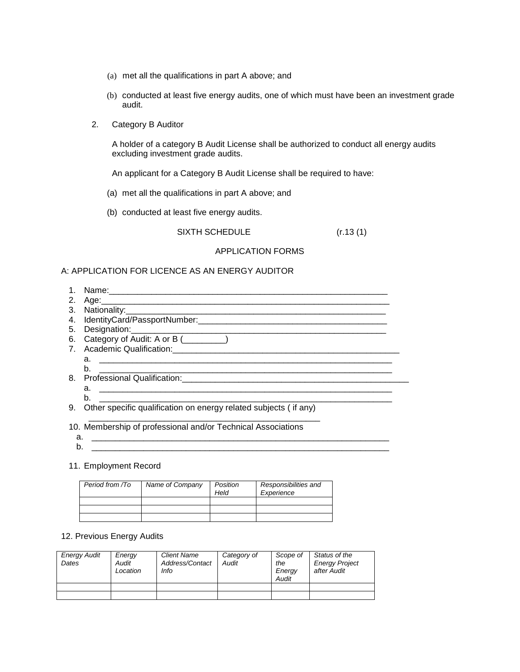- (a) met all the qualifications in part A above; and
- (b) conducted at least five energy audits, one of which must have been an investment grade audit.
- 2. Category B Auditor

A holder of a category B Audit License shall be authorized to conduct all energy audits excluding investment grade audits.

An applicant for a Category B Audit License shall be required to have:

- (a) met all the qualifications in part A above; and
- (b) conducted at least five energy audits.

SIXTH SCHEDULE (r.13 (1)

### APPLICATION FORMS

# A: APPLICATION FOR LICENCE AS AN ENERGY AUDITOR

1. Name: 2. Age:\_\_\_\_\_\_\_\_\_\_\_\_\_\_\_\_\_\_\_\_\_\_\_\_\_\_\_\_\_\_\_\_\_\_\_\_\_\_\_\_\_\_\_\_\_\_\_\_\_\_\_\_\_\_\_\_\_\_\_\_\_ 3. Nationality:\_\_\_\_\_\_\_\_\_\_\_\_\_\_\_\_\_\_\_\_\_\_\_\_\_\_\_\_\_\_\_\_\_\_\_\_\_\_\_\_\_\_\_\_\_\_\_\_\_\_\_\_\_\_\_ 4. IdentityCard/PassportNumber: 5. Designation:\_\_\_\_\_\_\_\_\_\_\_\_\_\_\_\_\_\_\_\_\_\_\_\_\_\_\_\_\_\_\_\_\_\_\_\_\_\_\_\_\_\_\_\_\_\_\_\_\_\_\_\_\_\_ 6. Category of Audit: A or B (\_\_\_\_\_\_\_\_\_) 7. Academic Qualification:\_\_\_\_\_\_\_\_\_\_\_\_\_\_\_\_\_\_\_\_\_\_\_\_\_\_\_\_\_\_\_\_\_\_\_\_\_\_\_\_\_\_\_\_\_\_\_\_ a. \_\_\_\_\_\_\_\_\_\_\_\_\_\_\_\_\_\_\_\_\_\_\_\_\_\_\_\_\_\_\_\_\_\_\_\_\_\_\_\_\_\_\_\_\_\_\_\_\_\_\_\_\_\_\_\_\_\_\_\_\_\_ b. \_\_\_\_\_\_\_\_\_\_\_\_\_\_\_\_\_\_\_\_\_\_\_\_\_\_\_\_\_\_\_\_\_\_\_\_\_\_\_\_\_\_\_\_\_\_\_\_\_\_\_\_\_\_\_\_\_\_\_\_\_\_ 8. Professional Qualification: a. \_\_\_\_\_\_\_\_\_\_\_\_\_\_\_\_\_\_\_\_\_\_\_\_\_\_\_\_\_\_\_\_\_\_\_\_\_\_\_\_\_\_\_\_\_\_\_\_\_\_\_\_\_\_\_\_\_\_\_\_\_\_

9. Other specific qualification on energy related subjects ( if any)

\_\_\_\_\_\_\_\_\_\_\_\_\_\_\_\_\_\_\_\_\_\_\_\_\_\_\_\_\_\_\_\_\_\_\_\_\_\_\_\_\_\_\_\_\_\_\_\_\_

b. \_\_\_\_\_\_\_\_\_\_\_\_\_\_\_\_\_\_\_\_\_\_\_\_\_\_\_\_\_\_\_\_\_\_\_\_\_\_\_\_\_\_\_\_\_\_\_\_\_\_\_\_\_\_\_\_\_\_\_\_\_\_

10. Membership of professional and/or Technical Associations

- a. \_\_\_\_\_\_\_\_\_\_\_\_\_\_\_\_\_\_\_\_\_\_\_\_\_\_\_\_\_\_\_\_\_\_\_\_\_\_\_\_\_\_\_\_\_\_\_\_\_\_\_\_\_\_\_\_\_\_\_\_\_\_\_ b. \_\_\_\_\_\_\_\_\_\_\_\_\_\_\_\_\_\_\_\_\_\_\_\_\_\_\_\_\_\_\_\_\_\_\_\_\_\_\_\_\_\_\_\_\_\_\_\_\_\_\_\_\_\_\_\_\_\_\_\_\_\_\_
- 11. Employment Record

| Period from /To | Name of Company | Position<br>Held | Responsibilities and<br>Experience |
|-----------------|-----------------|------------------|------------------------------------|
|                 |                 |                  |                                    |
|                 |                 |                  |                                    |
|                 |                 |                  |                                    |

#### 12. Previous Energy Audits

| <b>Energy Audit</b><br>Dates | Energy<br>Audit<br>Location | <b>Client Name</b><br>Address/Contact<br>Info | Category of<br>Audit | Scope of<br>the<br>Energy<br>Audit | Status of the<br><b>Energy Project</b><br>after Audit |
|------------------------------|-----------------------------|-----------------------------------------------|----------------------|------------------------------------|-------------------------------------------------------|
|                              |                             |                                               |                      |                                    |                                                       |
|                              |                             |                                               |                      |                                    |                                                       |